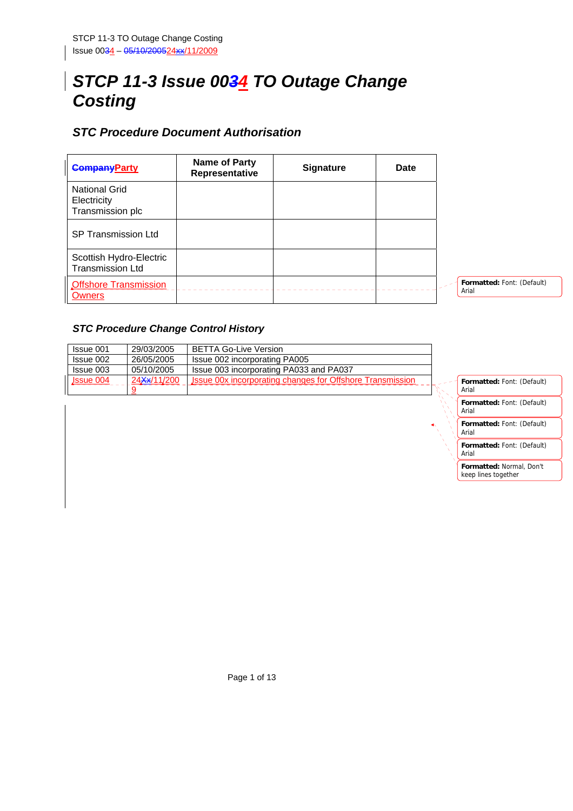# *STCP 11-3 Issue 0034 TO Outage Change Costing*

# *STC Procedure Document Authorisation*

| <b>CompanyParty</b>                                     | Name of Party<br>Representative | <b>Signature</b> | <b>Date</b> |                                     |
|---------------------------------------------------------|---------------------------------|------------------|-------------|-------------------------------------|
| <b>National Grid</b><br>Electricity<br>Transmission plc |                                 |                  |             |                                     |
| <b>SP Transmission Ltd</b>                              |                                 |                  |             |                                     |
| Scottish Hydro-Electric<br><b>Transmission Ltd</b>      |                                 |                  |             |                                     |
| <b>Offshore Transmission</b><br><b>Owners</b>           |                                 |                  |             | Formatted: Font: (Default)<br>Arial |

#### *STC Procedure Change Control History*

| Issue 001 | 29/03/2005               | <b>BETTA Go-Live Version</b>                                     |                      |                                   |
|-----------|--------------------------|------------------------------------------------------------------|----------------------|-----------------------------------|
| Issue 002 | 26/05/2005               | Issue 002 incorporating PA005                                    |                      |                                   |
| Issue 003 | 05/10/2005               | Issue 003 incorporating PA033 and PA037                          |                      |                                   |
| Jssue 004 | 24 <del>Xx</del> /11/200 | <b>Jssue 00x incorporating changes for Offshore Transmission</b> |                      | Formatted: Font: (Default)        |
|           |                          |                                                                  |                      | Arial                             |
|           |                          |                                                                  |                      | <b>Formatted: Font: (Default)</b> |
|           |                          |                                                                  |                      | Arial                             |
|           |                          |                                                                  | $\blacktriangleleft$ | Formatted: Font: (Default)        |

Arial

Arial

**Formatted:** Font: (Default)

**Formatted:** Normal, Don't keep lines together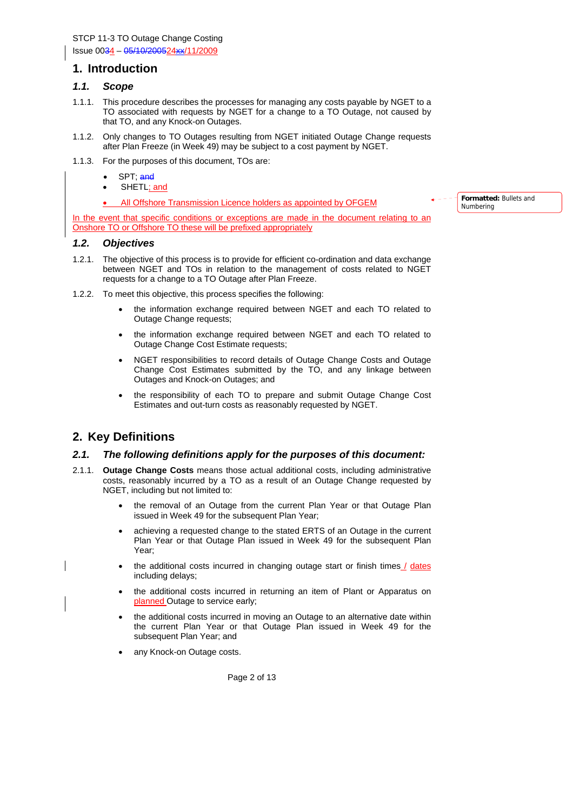STCP 11-3 TO Outage Change Costing Issue 0034 – 05/10/200524xx/11/2009

#### **1. Introduction**

#### *1.1. Scope*

- 1.1.1. This procedure describes the processes for managing any costs payable by NGET to a TO associated with requests by NGET for a change to a TO Outage, not caused by that TO, and any Knock-on Outages.
- 1.1.2. Only changes to TO Outages resulting from NGET initiated Outage Change requests after Plan Freeze (in Week 49) may be subject to a cost payment by NGET.
- 1.1.3. For the purposes of this document, TOs are:
	- SPT: and
	- SHETL; and
	- All Offshore Transmission Licence holders as appointed by OFGEM

In the event that specific conditions or exceptions are made in the document relating to an Onshore TO or Offshore TO these will be prefixed appropriately

#### *1.2. Objectives*

- 1.2.1. The objective of this process is to provide for efficient co-ordination and data exchange between NGET and TOs in relation to the management of costs related to NGET requests for a change to a TO Outage after Plan Freeze.
- 1.2.2. To meet this objective, this process specifies the following:
	- the information exchange required between NGET and each TO related to Outage Change requests;
	- the information exchange required between NGET and each TO related to Outage Change Cost Estimate requests;
	- NGET responsibilities to record details of Outage Change Costs and Outage Change Cost Estimates submitted by the TO, and any linkage between Outages and Knock-on Outages; and
	- the responsibility of each TO to prepare and submit Outage Change Cost Estimates and out-turn costs as reasonably requested by NGET.

# **2. Key Definitions**

#### *2.1. The following definitions apply for the purposes of this document:*

- 2.1.1. **Outage Change Costs** means those actual additional costs, including administrative costs, reasonably incurred by a TO as a result of an Outage Change requested by NGET, including but not limited to:
	- the removal of an Outage from the current Plan Year or that Outage Plan issued in Week 49 for the subsequent Plan Year;
	- achieving a requested change to the stated ERTS of an Outage in the current Plan Year or that Outage Plan issued in Week 49 for the subsequent Plan Year;
	- the additional costs incurred in changing outage start or finish times / dates including delays;
	- the additional costs incurred in returning an item of Plant or Apparatus on planned Outage to service early;
	- the additional costs incurred in moving an Outage to an alternative date within the current Plan Year or that Outage Plan issued in Week 49 for the subsequent Plan Year; and
	- any Knock-on Outage costs.

Page 2 of 13

**Formatted:** Bullets and Numbering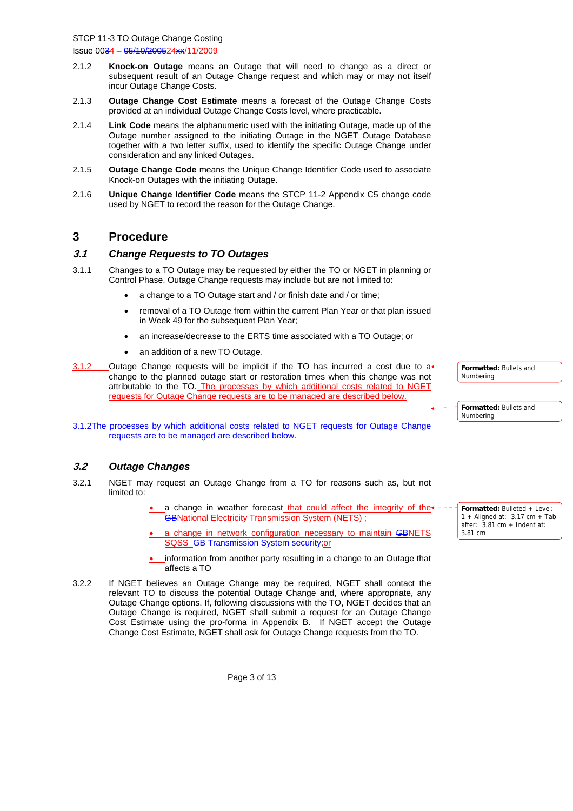- 2.1.2 **Knock-on Outage** means an Outage that will need to change as a direct or subsequent result of an Outage Change request and which may or may not itself incur Outage Change Costs.
- 2.1.3 **Outage Change Cost Estimate** means a forecast of the Outage Change Costs provided at an individual Outage Change Costs level, where practicable.
- 2.1.4 **Link Code** means the alphanumeric used with the initiating Outage, made up of the Outage number assigned to the initiating Outage in the NGET Outage Database together with a two letter suffix, used to identify the specific Outage Change under consideration and any linked Outages.
- 2.1.5 **Outage Change Code** means the Unique Change Identifier Code used to associate Knock-on Outages with the initiating Outage.
- 2.1.6 **Unique Change Identifier Code** means the STCP 11-2 Appendix C5 change code used by NGET to record the reason for the Outage Change.

### **3 Procedure**

#### **3.1** *Change Requests to TO Outages*

- 3.1.1 Changes to a TO Outage may be requested by either the TO or NGET in planning or Control Phase. Outage Change requests may include but are not limited to:
	- a change to a TO Outage start and / or finish date and / or time;
	- removal of a TO Outage from within the current Plan Year or that plan issued in Week 49 for the subsequent Plan Year;
	- an increase/decrease to the ERTS time associated with a TO Outage; or
	- an addition of a new TO Outage.

3.1.2 Outage Change requests will be implicit if the TO has incurred a cost due to  $a<sup>*</sup>$ change to the planned outage start or restoration times when this change was not attributable to the TO. The processes by which additional costs related to NGET requests for Outage Change requests are to be managed are described below.

3.1.2The processes by which additional costs related to NGET requests for Outage Change requests are to be managed are described below.

#### **3.2** *Outage Changes*

- 3.2.1 NGET may request an Outage Change from a TO for reasons such as, but not limited to:
	- a change in weather forecast that could affect the integrity of the<sup>+</sup> GBNational Electricity Transmission System (NETS) ;
	- a change in network configuration necessary to maintain GBNETS SQSS GB Transmission System security;or
	- information from another party resulting in a change to an Outage that affects a TO
- 3.2.2 If NGET believes an Outage Change may be required, NGET shall contact the relevant TO to discuss the potential Outage Change and, where appropriate, any Outage Change options. If, following discussions with the TO, NGET decides that an Outage Change is required, NGET shall submit a request for an Outage Change Cost Estimate using the pro-forma in Appendix B. If NGET accept the Outage Change Cost Estimate, NGET shall ask for Outage Change requests from the TO.

**Formatted:** Bulleted + Level: 1 + Aligned at:  $3.17 \text{ cm} + \text{ Tab}$ after: 3.81 cm + Indent at: 3.81 cm

**Formatted:** Bullets and

**Formatted:** Bullets and

Numbering

Numbering

Page 3 of 13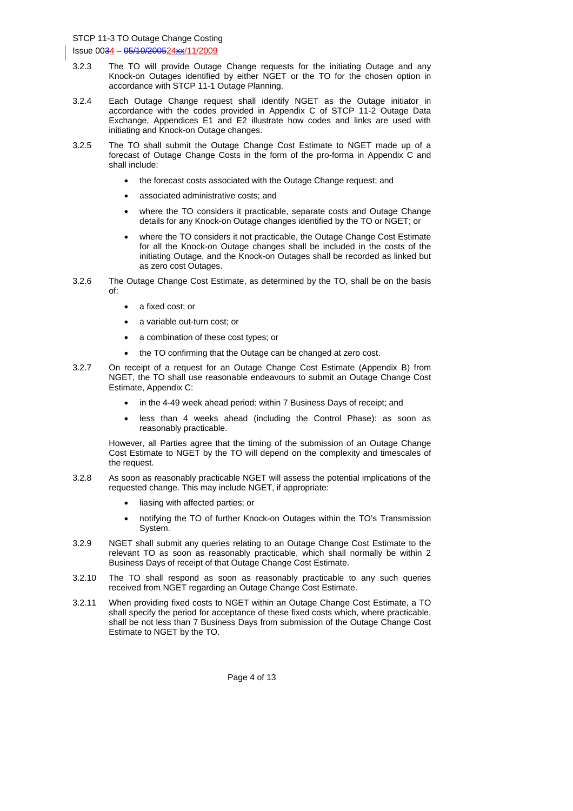- 3.2.3 The TO will provide Outage Change requests for the initiating Outage and any Knock-on Outages identified by either NGET or the TO for the chosen option in accordance with STCP 11-1 Outage Planning.
- 3.2.4 Each Outage Change request shall identify NGET as the Outage initiator in accordance with the codes provided in Appendix C of STCP 11-2 Outage Data Exchange, Appendices E1 and E2 illustrate how codes and links are used with initiating and Knock-on Outage changes.
- 3.2.5 The TO shall submit the Outage Change Cost Estimate to NGET made up of a forecast of Outage Change Costs in the form of the pro-forma in Appendix C and shall include:
	- the forecast costs associated with the Outage Change request; and
	- associated administrative costs; and
	- where the TO considers it practicable, separate costs and Outage Change details for any Knock-on Outage changes identified by the TO or NGET; or
	- where the TO considers it not practicable, the Outage Change Cost Estimate for all the Knock-on Outage changes shall be included in the costs of the initiating Outage, and the Knock-on Outages shall be recorded as linked but as zero cost Outages.
- 3.2.6 The Outage Change Cost Estimate, as determined by the TO, shall be on the basis of:
	- a fixed cost; or
	- a variable out-turn cost; or
	- a combination of these cost types; or
	- the TO confirming that the Outage can be changed at zero cost.
- 3.2.7 On receipt of a request for an Outage Change Cost Estimate (Appendix B) from NGET, the TO shall use reasonable endeavours to submit an Outage Change Cost Estimate, Appendix C:
	- in the 4-49 week ahead period: within 7 Business Days of receipt; and
	- less than 4 weeks ahead (including the Control Phase): as soon as reasonably practicable.

However, all Parties agree that the timing of the submission of an Outage Change Cost Estimate to NGET by the TO will depend on the complexity and timescales of the request.

- 3.2.8 As soon as reasonably practicable NGET will assess the potential implications of the requested change. This may include NGET, if appropriate:
	- liasing with affected parties; or
	- notifying the TO of further Knock-on Outages within the TO's Transmission System.
- 3.2.9 NGET shall submit any queries relating to an Outage Change Cost Estimate to the relevant TO as soon as reasonably practicable, which shall normally be within 2 Business Days of receipt of that Outage Change Cost Estimate.
- 3.2.10 The TO shall respond as soon as reasonably practicable to any such queries received from NGET regarding an Outage Change Cost Estimate.
- 3.2.11 When providing fixed costs to NGET within an Outage Change Cost Estimate, a TO shall specify the period for acceptance of these fixed costs which, where practicable, shall be not less than 7 Business Days from submission of the Outage Change Cost Estimate to NGET by the TO.

Page 4 of 13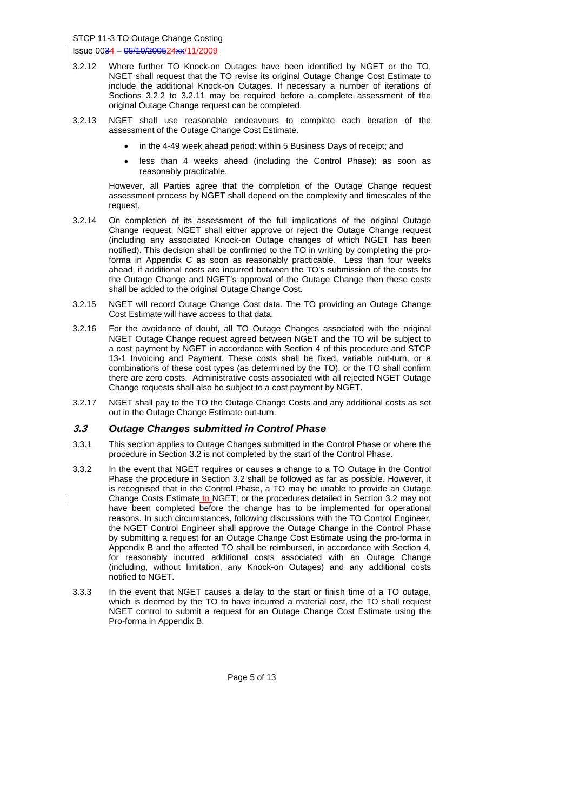- 3.2.12 Where further TO Knock-on Outages have been identified by NGET or the TO, NGET shall request that the TO revise its original Outage Change Cost Estimate to include the additional Knock-on Outages. If necessary a number of iterations of Sections 3.2.2 to 3.2.11 may be required before a complete assessment of the original Outage Change request can be completed.
- 3.2.13 NGET shall use reasonable endeavours to complete each iteration of the assessment of the Outage Change Cost Estimate.
	- in the 4-49 week ahead period: within 5 Business Days of receipt; and
	- less than 4 weeks ahead (including the Control Phase): as soon as reasonably practicable.

However, all Parties agree that the completion of the Outage Change request assessment process by NGET shall depend on the complexity and timescales of the request.

- 3.2.14 On completion of its assessment of the full implications of the original Outage Change request, NGET shall either approve or reject the Outage Change request (including any associated Knock-on Outage changes of which NGET has been notified). This decision shall be confirmed to the TO in writing by completing the proforma in Appendix C as soon as reasonably practicable. Less than four weeks ahead, if additional costs are incurred between the TO's submission of the costs for the Outage Change and NGET's approval of the Outage Change then these costs shall be added to the original Outage Change Cost.
- 3.2.15 NGET will record Outage Change Cost data. The TO providing an Outage Change Cost Estimate will have access to that data.
- 3.2.16 For the avoidance of doubt, all TO Outage Changes associated with the original NGET Outage Change request agreed between NGET and the TO will be subject to a cost payment by NGET in accordance with Section 4 of this procedure and STCP 13-1 Invoicing and Payment. These costs shall be fixed, variable out-turn, or a combinations of these cost types (as determined by the TO), or the TO shall confirm there are zero costs. Administrative costs associated with all rejected NGET Outage Change requests shall also be subject to a cost payment by NGET.
- 3.2.17 NGET shall pay to the TO the Outage Change Costs and any additional costs as set out in the Outage Change Estimate out-turn.

#### **3.3** *Outage Changes submitted in Control Phase*

- 3.3.1 This section applies to Outage Changes submitted in the Control Phase or where the procedure in Section 3.2 is not completed by the start of the Control Phase.
- 3.3.2 In the event that NGET requires or causes a change to a TO Outage in the Control Phase the procedure in Section 3.2 shall be followed as far as possible. However, it is recognised that in the Control Phase, a TO may be unable to provide an Outage Change Costs Estimate to NGET; or the procedures detailed in Section 3.2 may not have been completed before the change has to be implemented for operational reasons. In such circumstances, following discussions with the TO Control Engineer, the NGET Control Engineer shall approve the Outage Change in the Control Phase by submitting a request for an Outage Change Cost Estimate using the pro-forma in Appendix B and the affected TO shall be reimbursed, in accordance with Section 4, for reasonably incurred additional costs associated with an Outage Change (including, without limitation, any Knock-on Outages) and any additional costs notified to NGET.
- 3.3.3 In the event that NGET causes a delay to the start or finish time of a TO outage, which is deemed by the TO to have incurred a material cost, the TO shall request NGET control to submit a request for an Outage Change Cost Estimate using the Pro-forma in Appendix B.

Page 5 of 13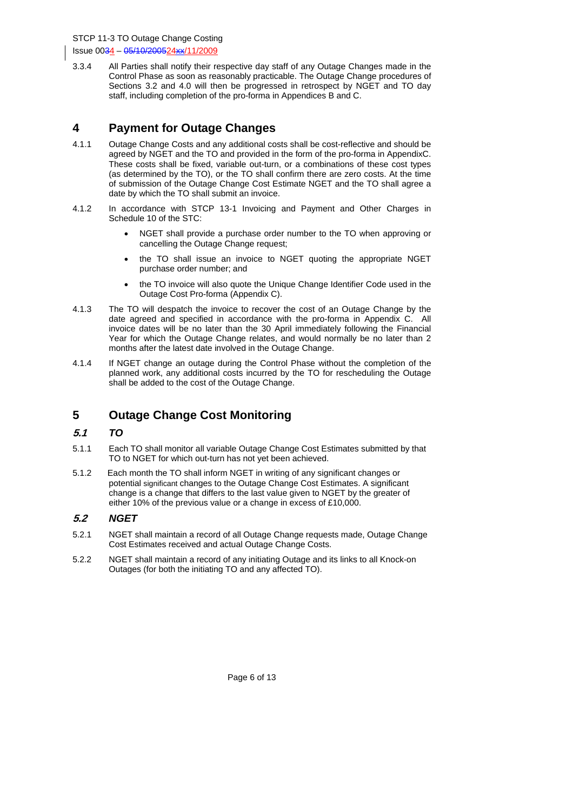STCP 11-3 TO Outage Change Costing Issue 0034 – 05/10/200524xx/11/2009

3.3.4 All Parties shall notify their respective day staff of any Outage Changes made in the Control Phase as soon as reasonably practicable. The Outage Change procedures of Sections 3.2 and 4.0 will then be progressed in retrospect by NGET and TO day staff, including completion of the pro-forma in Appendices B and C.

### **4 Payment for Outage Changes**

- 4.1.1 Outage Change Costs and any additional costs shall be cost-reflective and should be agreed by NGET and the TO and provided in the form of the pro-forma in AppendixC. These costs shall be fixed, variable out-turn, or a combinations of these cost types (as determined by the TO), or the TO shall confirm there are zero costs. At the time of submission of the Outage Change Cost Estimate NGET and the TO shall agree a date by which the TO shall submit an invoice.
- 4.1.2 In accordance with STCP 13-1 Invoicing and Payment and Other Charges in Schedule 10 of the STC:
	- NGET shall provide a purchase order number to the TO when approving or cancelling the Outage Change request;
	- the TO shall issue an invoice to NGET quoting the appropriate NGET purchase order number; and
	- the TO invoice will also quote the Unique Change Identifier Code used in the Outage Cost Pro-forma (Appendix C).
- 4.1.3 The TO will despatch the invoice to recover the cost of an Outage Change by the date agreed and specified in accordance with the pro-forma in Appendix C. All invoice dates will be no later than the 30 April immediately following the Financial Year for which the Outage Change relates, and would normally be no later than 2 months after the latest date involved in the Outage Change.
- 4.1.4 If NGET change an outage during the Control Phase without the completion of the planned work, any additional costs incurred by the TO for rescheduling the Outage shall be added to the cost of the Outage Change.

# **5 Outage Change Cost Monitoring**

#### **5.1** *TO*

- 5.1.1 Each TO shall monitor all variable Outage Change Cost Estimates submitted by that TO to NGET for which out-turn has not yet been achieved.
- 5.1.2 Each month the TO shall inform NGET in writing of any significant changes or potential significant changes to the Outage Change Cost Estimates. A significant change is a change that differs to the last value given to NGET by the greater of either 10% of the previous value or a change in excess of £10,000.

#### **5.2** *NGET*

- 5.2.1 NGET shall maintain a record of all Outage Change requests made, Outage Change Cost Estimates received and actual Outage Change Costs.
- 5.2.2 NGET shall maintain a record of any initiating Outage and its links to all Knock-on Outages (for both the initiating TO and any affected TO).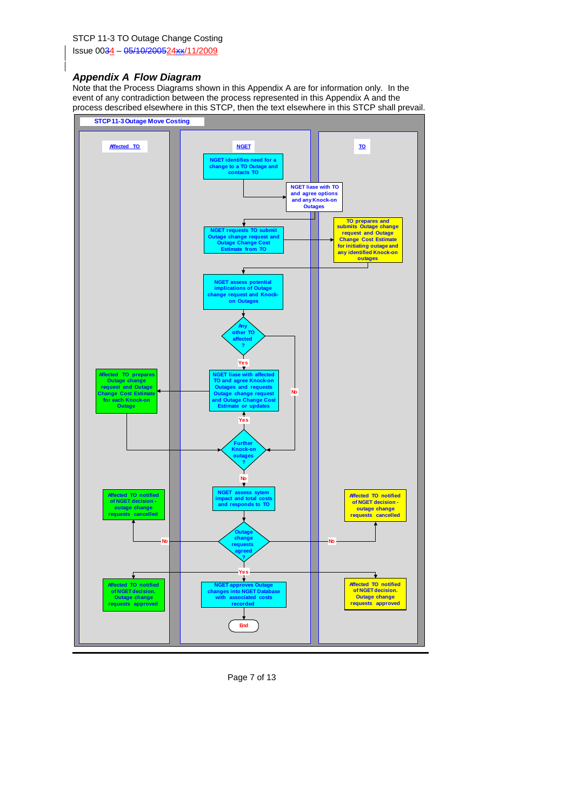#### *Appendix A Flow Diagram*

Note that the Process Diagrams shown in this Appendix A are for information only. In the event of any contradiction between the process represented in this Appendix A and the process described elsewhere in this STCP, then the text elsewhere in this STCP shall prevail.



Page 7 of 13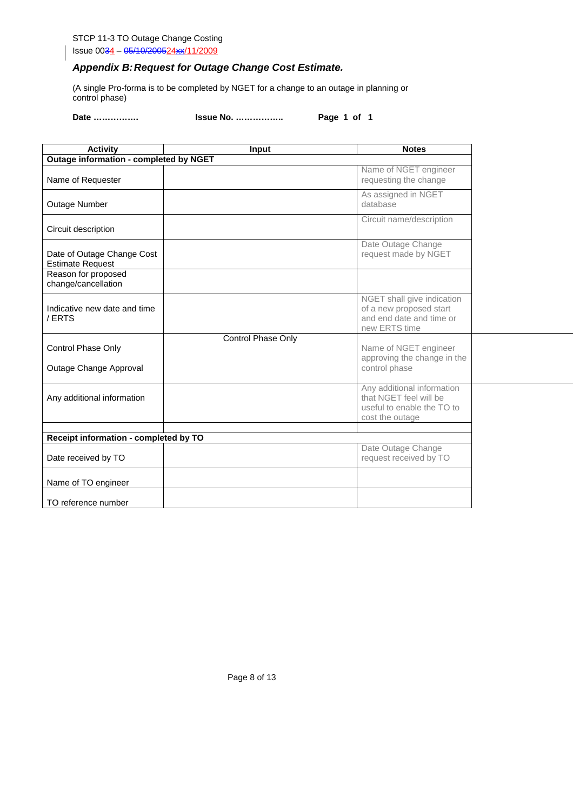#### STCP 11-3 TO Outage Change Costing Issue 0034 - 05/10/200524xx/11/2009

### *Appendix B: Request for Outage Change Cost Estimate.*

(A single Pro-forma is to be completed by NGET for a change to an outage in planning or control phase)

**Date ……………. Issue No. …………….. Page 1 of 1** 

| <b>Activity</b>                                       | Input              | <b>Notes</b>                                                                                          |
|-------------------------------------------------------|--------------------|-------------------------------------------------------------------------------------------------------|
| <b>Outage information - completed by NGET</b>         |                    |                                                                                                       |
| Name of Requester                                     |                    | Name of NGET engineer<br>requesting the change                                                        |
| Outage Number                                         |                    | As assigned in NGET<br>database                                                                       |
| Circuit description                                   |                    | Circuit name/description                                                                              |
| Date of Outage Change Cost<br><b>Estimate Request</b> |                    | Date Outage Change<br>request made by NGET                                                            |
| Reason for proposed<br>change/cancellation            |                    |                                                                                                       |
| Indicative new date and time<br>/ERTS                 |                    | NGET shall give indication<br>of a new proposed start<br>and end date and time or<br>new ERTS time    |
| Control Phase Only<br>Outage Change Approval          | Control Phase Only | Name of NGET engineer<br>approving the change in the<br>control phase                                 |
| Any additional information                            |                    | Any additional information<br>that NGET feel will be<br>useful to enable the TO to<br>cost the outage |
| Receipt information - completed by TO                 |                    |                                                                                                       |
| Date received by TO                                   |                    | Date Outage Change<br>request received by TO                                                          |
| Name of TO engineer                                   |                    |                                                                                                       |
| TO reference number                                   |                    |                                                                                                       |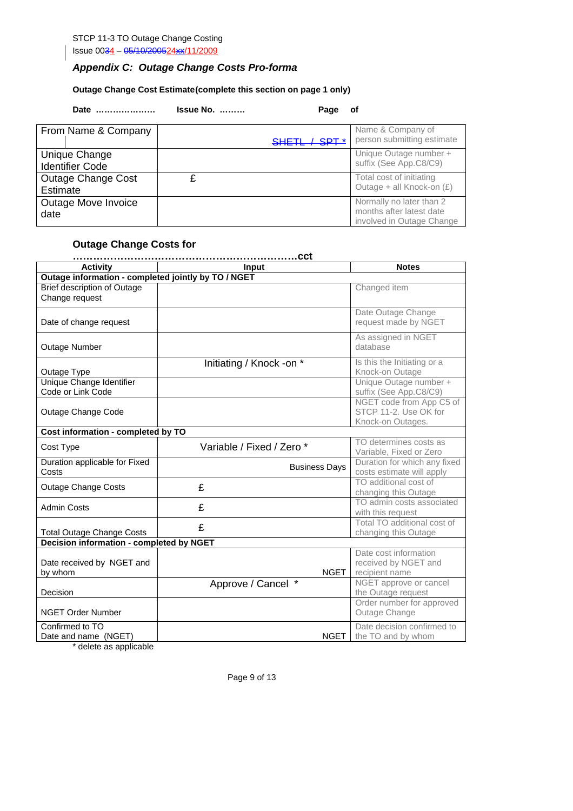STCP 11-3 TO Outage Change Costing Issue 0034 - 05/10/200524xx/11/2009

# *Appendix C: Outage Change Costs Pro-forma*

#### **Outage Change Cost Estimate (complete this section on page 1 only)**

**Date ………………… Issue No. ……… Page of** 

| From Name & Company       |                          | Name & Company of          |
|---------------------------|--------------------------|----------------------------|
|                           | SHETL / SPT <sup>*</sup> | person submitting estimate |
| Unique Change             |                          | Unique Outage number +     |
| <b>Identifier Code</b>    |                          | suffix (See App.C8/C9)     |
| <b>Outage Change Cost</b> |                          | Total cost of initiating   |
| Estimate                  |                          | Outage + all Knock-on (£)  |
| Outage Move Invoice       |                          | Normally no later than 2   |
| date                      |                          | months after latest date   |
|                           |                          | involved in Outage Change  |

#### **Outage Change Costs for**

| <b>Activity</b>                                      | Input                     | <b>Notes</b>                                                           |  |  |  |
|------------------------------------------------------|---------------------------|------------------------------------------------------------------------|--|--|--|
| Outage information - completed jointly by TO / NGET  |                           |                                                                        |  |  |  |
| <b>Brief description of Outage</b><br>Change request |                           | Changed item                                                           |  |  |  |
| Date of change request                               |                           | Date Outage Change<br>request made by NGET                             |  |  |  |
| Outage Number                                        |                           | As assigned in NGET<br>database                                        |  |  |  |
| Outage Type                                          | Initiating / Knock -on *  | Is this the Initiating or a<br>Knock-on Outage                         |  |  |  |
| Unique Change Identifier<br>Code or Link Code        |                           | Unique Outage number +<br>suffix (See App.C8/C9)                       |  |  |  |
| Outage Change Code                                   |                           | NGET code from App C5 of<br>STCP 11-2. Use OK for<br>Knock-on Outages. |  |  |  |
| Cost information - completed by TO                   |                           |                                                                        |  |  |  |
| Cost Type                                            | Variable / Fixed / Zero * | TO determines costs as<br>Variable, Fixed or Zero                      |  |  |  |
| Duration applicable for Fixed<br>Costs               | <b>Business Days</b>      | Duration for which any fixed<br>costs estimate will apply              |  |  |  |
| <b>Outage Change Costs</b>                           | £                         | TO additional cost of<br>changing this Outage                          |  |  |  |
| <b>Admin Costs</b>                                   | £                         | TO admin costs associated<br>with this request                         |  |  |  |
| <b>Total Outage Change Costs</b>                     | £                         | Total TO additional cost of<br>changing this Outage                    |  |  |  |
| <b>Decision information - completed by NGET</b>      |                           |                                                                        |  |  |  |
| Date received by NGET and<br>by whom                 | <b>NGET</b>               | Date cost information<br>received by NGET and<br>recipient name        |  |  |  |
| Decision                                             | Approve / Cancel *        | NGET approve or cancel<br>the Outage request                           |  |  |  |
| <b>NGET Order Number</b>                             |                           | Order number for approved<br>Outage Change                             |  |  |  |
| Confirmed to TO<br>Date and name (NGET)              | <b>NGET</b>               | Date decision confirmed to<br>the TO and by whom                       |  |  |  |

\* delete as applicable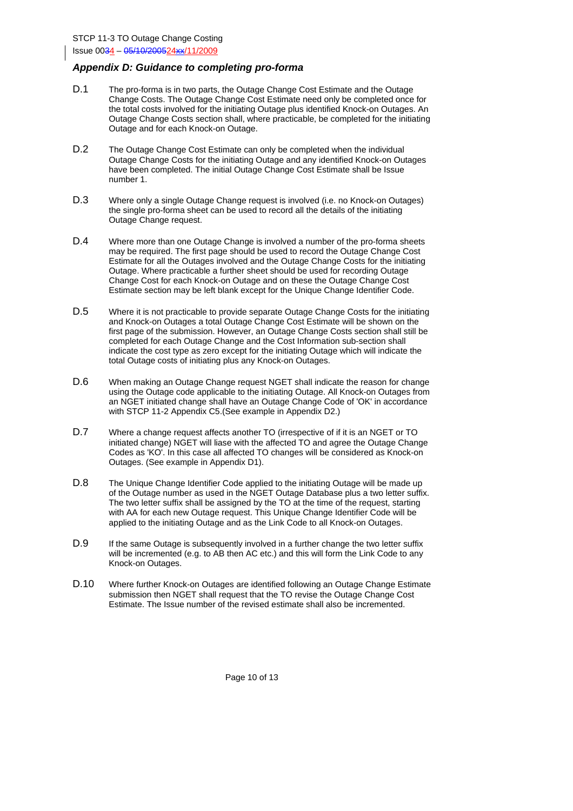#### *Appendix D: Guidance to completing pro-forma*

- D.1 The pro-forma is in two parts, the Outage Change Cost Estimate and the Outage Change Costs. The Outage Change Cost Estimate need only be completed once for the total costs involved for the initiating Outage plus identified Knock-on Outages. An Outage Change Costs section shall, where practicable, be completed for the initiating Outage and for each Knock-on Outage.
- D.2 The Outage Change Cost Estimate can only be completed when the individual Outage Change Costs for the initiating Outage and any identified Knock-on Outages have been completed. The initial Outage Change Cost Estimate shall be Issue number 1.
- D.3 Where only a single Outage Change request is involved (i.e. no Knock-on Outages) the single pro-forma sheet can be used to record all the details of the initiating Outage Change request.
- D.4 Where more than one Outage Change is involved a number of the pro-forma sheets may be required. The first page should be used to record the Outage Change Cost Estimate for all the Outages involved and the Outage Change Costs for the initiating Outage. Where practicable a further sheet should be used for recording Outage Change Cost for each Knock-on Outage and on these the Outage Change Cost Estimate section may be left blank except for the Unique Change Identifier Code.
- D.5 Where it is not practicable to provide separate Outage Change Costs for the initiating and Knock-on Outages a total Outage Change Cost Estimate will be shown on the first page of the submission. However, an Outage Change Costs section shall still be completed for each Outage Change and the Cost Information sub-section shall indicate the cost type as zero except for the initiating Outage which will indicate the total Outage costs of initiating plus any Knock-on Outages.
- D.6 When making an Outage Change request NGET shall indicate the reason for change using the Outage code applicable to the initiating Outage. All Knock-on Outages from an NGET initiated change shall have an Outage Change Code of 'OK' in accordance with STCP 11-2 Appendix C5.(See example in Appendix D2.)
- D.7 Where a change request affects another TO (irrespective of if it is an NGET or TO initiated change) NGET will liase with the affected TO and agree the Outage Change Codes as 'KO'. In this case all affected TO changes will be considered as Knock-on Outages. (See example in Appendix D1).
- D.8 The Unique Change Identifier Code applied to the initiating Outage will be made up of the Outage number as used in the NGET Outage Database plus a two letter suffix. The two letter suffix shall be assigned by the TO at the time of the request, starting with AA for each new Outage request. This Unique Change Identifier Code will be applied to the initiating Outage and as the Link Code to all Knock-on Outages.
- D.9 If the same Outage is subsequently involved in a further change the two letter suffix will be incremented (e.g. to AB then AC etc.) and this will form the Link Code to any Knock-on Outages.
- D.10 Where further Knock-on Outages are identified following an Outage Change Estimate submission then NGET shall request that the TO revise the Outage Change Cost Estimate. The Issue number of the revised estimate shall also be incremented.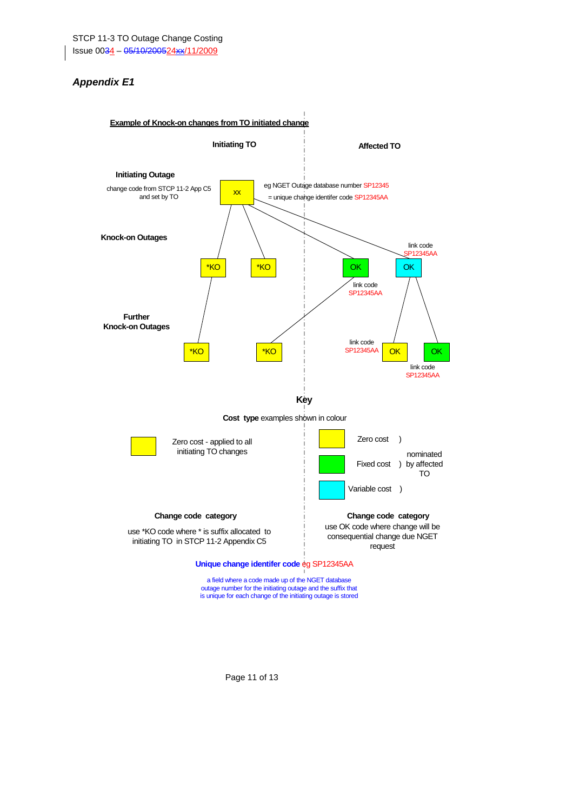### *Appendix E1*

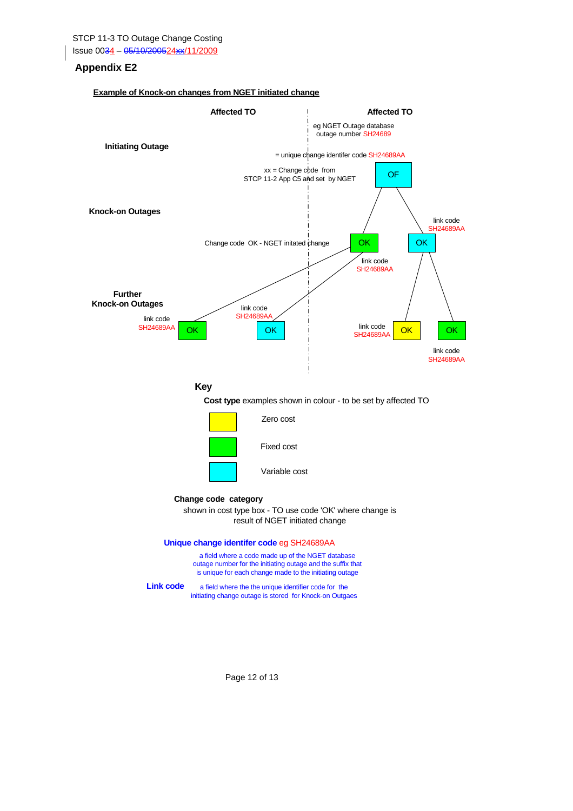#### **Appendix E2**

#### **Example of Knock-on changes from NGET initiated change**



Page 12 of 13